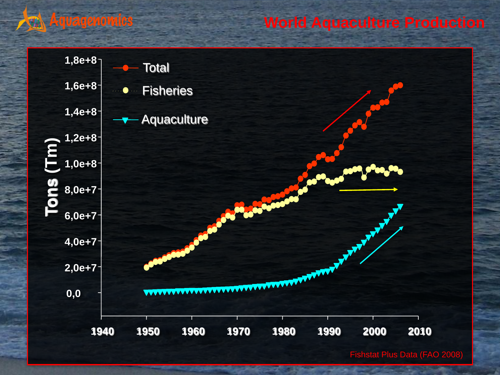### **Aquagenomics**

### **World Aquaculture Production**



Fishstat Plus Data (FAO 2008)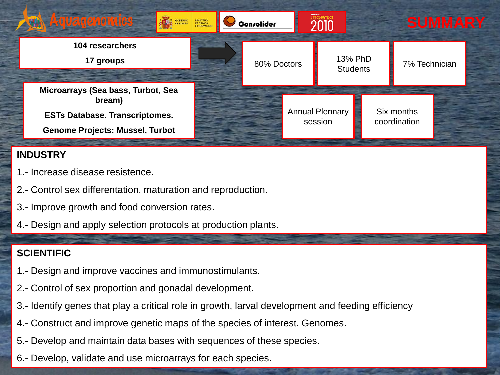

#### **INDUSTRY**

- 1.- Increase disease resistence.
- 2.- Control sex differentation, maturation and reproduction.
- 3.- Improve growth and food conversion rates.
- 4.- Design and apply selection protocols at production plants.

#### **SCIENTIFIC**

- 1.- Design and improve vaccines and immunostimulants.
- 2.- Control of sex proportion and gonadal development.
- 3.- Identify genes that play a critical role in growth, larval development and feeding efficiency
- 4.- Construct and improve genetic maps of the species of interest. Genomes.
- 5.- Develop and maintain data bases with sequences of these species.
- 6.- Develop, validate and use microarrays for each species.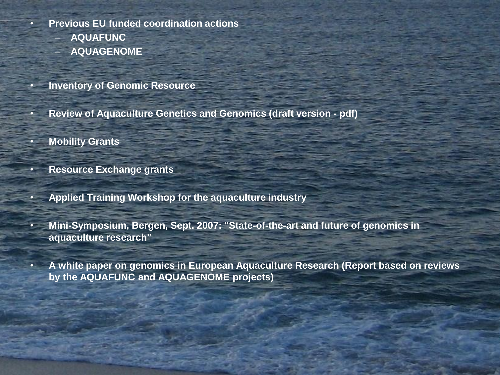- **Previous EU funded coordination actions**
	- **AQUAFUNC**
	- **AQUAGENOME**
	- **Inventory of Genomic Resource**
- **Review of Aquaculture Genetics and Genomics (draft version - pdf)**
- **Mobility Grants**
- **Resource Exchange grants**
- **Applied Training Workshop for the aquaculture industry**
- **Mini-Symposium, Bergen, Sept. 2007: "State-of-the-art and future of genomics in aquaculture research"**
- **A white paper on genomics in European Aquaculture Research (Report based on reviews by the AQUAFUNC and AQUAGENOME projects)**